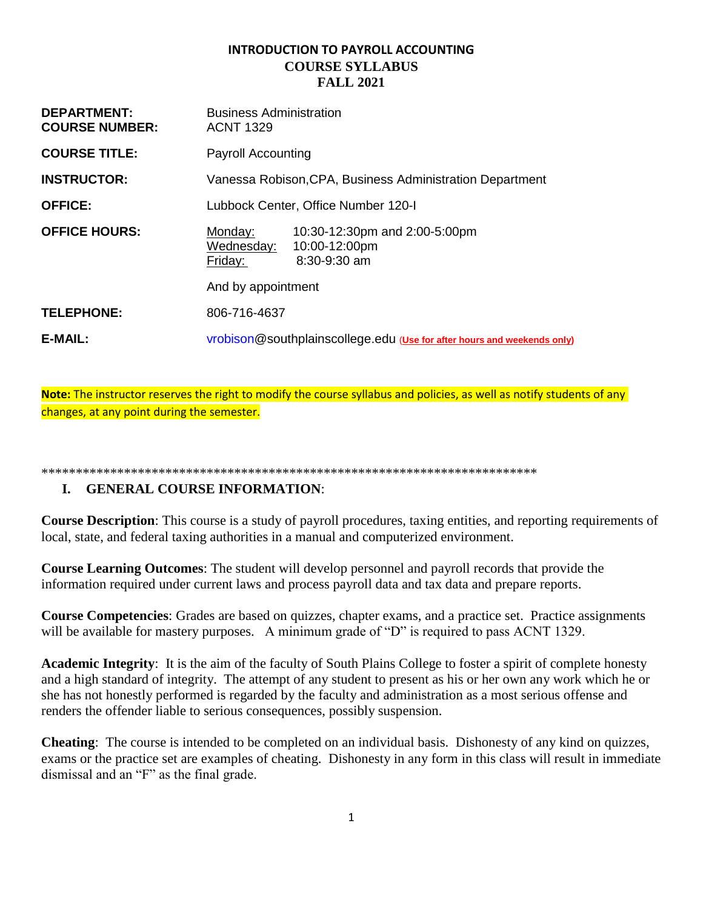# **INTRODUCTION TO PAYROLL ACCOUNTING COURSE SYLLABUS FALL 2021**

| <b>DEPARTMENT:</b><br><b>COURSE NUMBER:</b> | <b>Business Administration</b><br><b>ACNT 1329</b>                                                 |  |
|---------------------------------------------|----------------------------------------------------------------------------------------------------|--|
| <b>COURSE TITLE:</b>                        | <b>Payroll Accounting</b>                                                                          |  |
| <b>INSTRUCTOR:</b>                          | Vanessa Robison, CPA, Business Administration Department                                           |  |
| <b>OFFICE:</b>                              | Lubbock Center, Office Number 120-I                                                                |  |
| <b>OFFICE HOURS:</b>                        | Monday:<br>10:30-12:30pm and 2:00-5:00pm<br>Wednesday:<br>10:00-12:00pm<br>8:30-9:30 am<br>Friday: |  |
|                                             | And by appointment                                                                                 |  |
| <b>TELEPHONE:</b>                           | 806-716-4637                                                                                       |  |
| E-MAIL:                                     | vrobison@southplainscollege.edu (Use for after hours and weekends only)                            |  |

**Note:** The instructor reserves the right to modify the course syllabus and policies, as well as notify students of any changes, at any point during the semester.

#### \*\*\*\*\*\*\*\*\*\*\*\*\*\*\*\*\*\*\*\*\*\*\*\*\*\*\*\*\*\*\*\*\*\*\*\*\*\*\*\*\*\*\*\*\*\*\*\*\*\*\*\*\*\*\*\*\*\*\*\*\*\*\*\*\*\*\*\*\*\*\*\*

# **I. GENERAL COURSE INFORMATION**:

**Course Description**: This course is a study of payroll procedures, taxing entities, and reporting requirements of local, state, and federal taxing authorities in a manual and computerized environment.

**Course Learning Outcomes**: The student will develop personnel and payroll records that provide the information required under current laws and process payroll data and tax data and prepare reports.

**Course Competencies**: Grades are based on quizzes, chapter exams, and a practice set. Practice assignments will be available for mastery purposes. A minimum grade of "D" is required to pass ACNT 1329.

**Academic Integrity**: It is the aim of the faculty of South Plains College to foster a spirit of complete honesty and a high standard of integrity. The attempt of any student to present as his or her own any work which he or she has not honestly performed is regarded by the faculty and administration as a most serious offense and renders the offender liable to serious consequences, possibly suspension.

**Cheating**: The course is intended to be completed on an individual basis. Dishonesty of any kind on quizzes, exams or the practice set are examples of cheating. Dishonesty in any form in this class will result in immediate dismissal and an "F" as the final grade.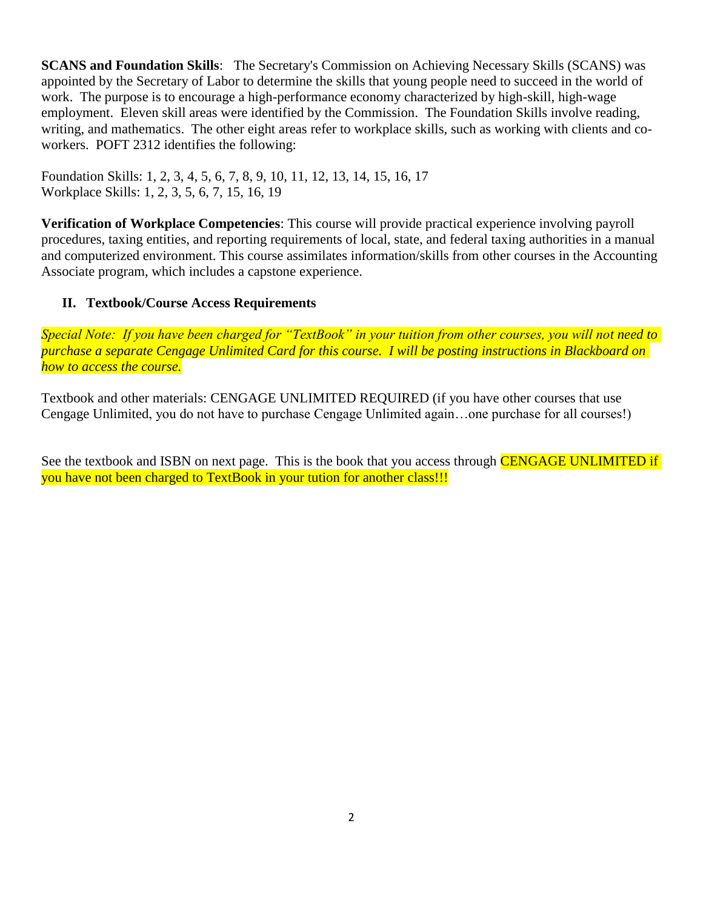**SCANS and Foundation Skills**: The Secretary's Commission on Achieving Necessary Skills (SCANS) was appointed by the Secretary of Labor to determine the skills that young people need to succeed in the world of work. The purpose is to encourage a high-performance economy characterized by high-skill, high-wage employment. Eleven skill areas were identified by the Commission. The Foundation Skills involve reading, writing, and mathematics. The other eight areas refer to workplace skills, such as working with clients and coworkers. POFT 2312 identifies the following:

Foundation Skills: 1, 2, 3, 4, 5, 6, 7, 8, 9, 10, 11, 12, 13, 14, 15, 16, 17 Workplace Skills: 1, 2, 3, 5, 6, 7, 15, 16, 19

**Verification of Workplace Competencies**: This course will provide practical experience involving payroll procedures, taxing entities, and reporting requirements of local, state, and federal taxing authorities in a manual and computerized environment. This course assimilates information/skills from other courses in the Accounting Associate program, which includes a capstone experience.

# **II. Textbook/Course Access Requirements**

*Special Note: If you have been charged for "TextBook" in your tuition from other courses, you will not need to purchase a separate Cengage Unlimited Card for this course. I will be posting instructions in Blackboard on how to access the course.*

Textbook and other materials: CENGAGE UNLIMITED REQUIRED (if you have other courses that use Cengage Unlimited, you do not have to purchase Cengage Unlimited again…one purchase for all courses!)

See the textbook and ISBN on next page. This is the book that you access through CENGAGE UNLIMITED if you have not been charged to TextBook in your tution for another class!!!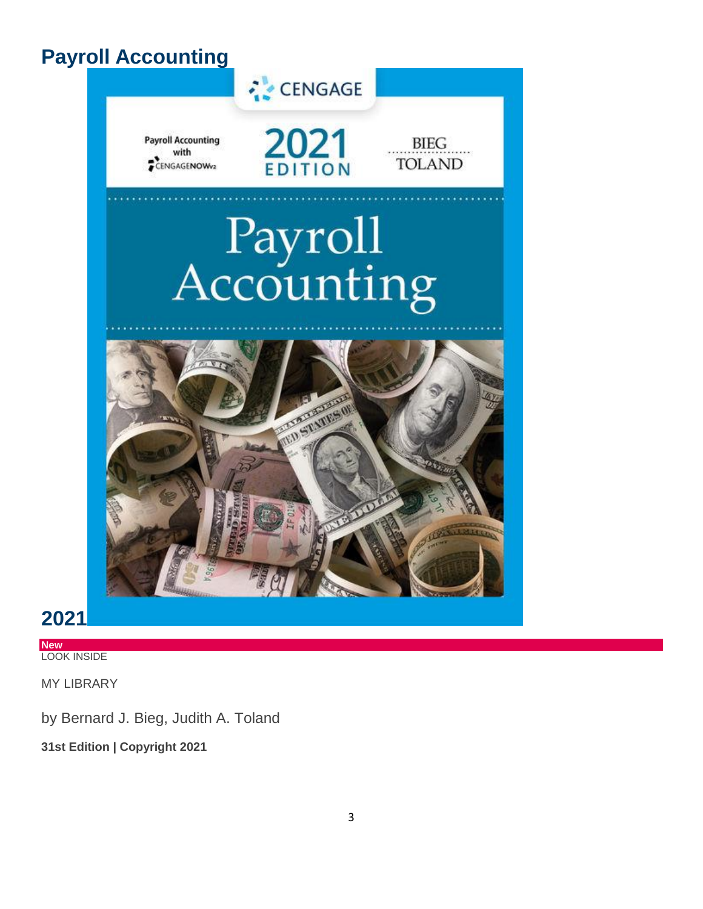# **Payroll Accounting**



**2021**

**New** LOOK INSIDE

MY LIBRARY

by Bernard J. Bieg, Judith A. Toland

**31st Edition | Copyright 2021**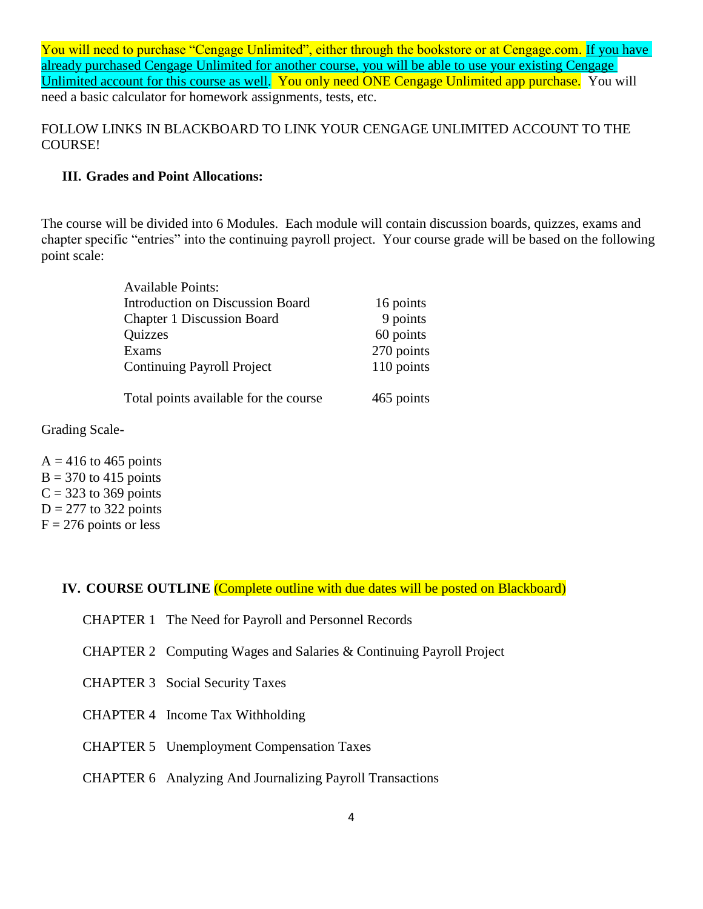You will need to purchase "Cengage Unlimited", either through the bookstore or at Cengage.com. If you have already purchased Cengage Unlimited for another course, you will be able to use your existing Cengage Unlimited account for this course as well. You only need ONE Cengage Unlimited app purchase. You will need a basic calculator for homework assignments, tests, etc.

FOLLOW LINKS IN BLACKBOARD TO LINK YOUR CENGAGE UNLIMITED ACCOUNT TO THE COURSE!

## **III. Grades and Point Allocations:**

The course will be divided into 6 Modules. Each module will contain discussion boards, quizzes, exams and chapter specific "entries" into the continuing payroll project. Your course grade will be based on the following point scale:

| <b>Available Points:</b>                |            |
|-----------------------------------------|------------|
| <b>Introduction on Discussion Board</b> | 16 points  |
| <b>Chapter 1 Discussion Board</b>       | 9 points   |
| Quizzes                                 | 60 points  |
| Exams                                   | 270 points |
| <b>Continuing Payroll Project</b>       | 110 points |
| Total points available for the course   | 465 points |

Grading Scale-

 $A = 416$  to 465 points  $B = 370$  to 415 points  $C = 323$  to 369 points  $D = 277$  to 322 points  $F = 276$  points or less

**IV. COURSE OUTLINE** (Complete outline with due dates will be posted on Blackboard)

- CHAPTER 1 The Need for Payroll and Personnel Records
- CHAPTER 2 Computing Wages and Salaries & Continuing Payroll Project
- CHAPTER 3 Social Security Taxes
- CHAPTER 4 Income Tax Withholding
- CHAPTER 5 Unemployment Compensation Taxes
- CHAPTER 6 Analyzing And Journalizing Payroll Transactions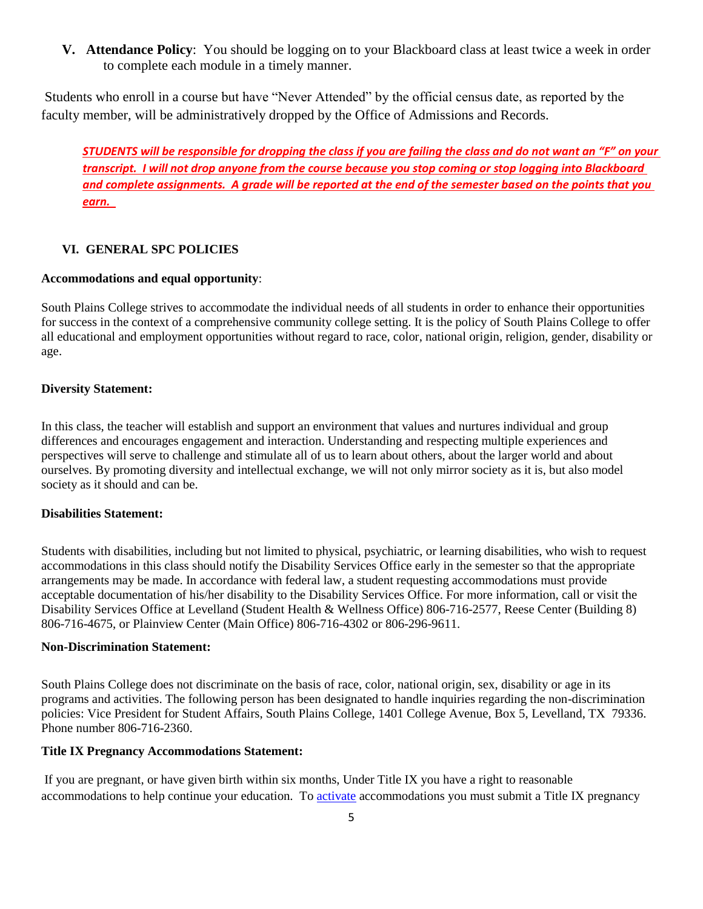**V. Attendance Policy**: You should be logging on to your Blackboard class at least twice a week in order to complete each module in a timely manner.

Students who enroll in a course but have "Never Attended" by the official census date, as reported by the faculty member, will be administratively dropped by the Office of Admissions and Records.

*STUDENTS will be responsible for dropping the class if you are failing the class and do not want an "F" on your transcript. I will not drop anyone from the course because you stop coming or stop logging into Blackboard and complete assignments. A grade will be reported at the end of the semester based on the points that you earn.* 

### **VI. GENERAL SPC POLICIES**

#### **Accommodations and equal opportunity**:

South Plains College strives to accommodate the individual needs of all students in order to enhance their opportunities for success in the context of a comprehensive community college setting. It is the policy of South Plains College to offer all educational and employment opportunities without regard to race, color, national origin, religion, gender, disability or age.

#### **Diversity Statement:**

In this class, the teacher will establish and support an environment that values and nurtures individual and group differences and encourages engagement and interaction. Understanding and respecting multiple experiences and perspectives will serve to challenge and stimulate all of us to learn about others, about the larger world and about ourselves. By promoting diversity and intellectual exchange, we will not only mirror society as it is, but also model society as it should and can be.

#### **Disabilities Statement:**

Students with disabilities, including but not limited to physical, psychiatric, or learning disabilities, who wish to request accommodations in this class should notify the Disability Services Office early in the semester so that the appropriate arrangements may be made. In accordance with federal law, a student requesting accommodations must provide acceptable documentation of his/her disability to the Disability Services Office. For more information, call or visit the Disability Services Office at Levelland (Student Health & Wellness Office) 806-716-2577, Reese Center (Building 8) 806-716-4675, or Plainview Center (Main Office) 806-716-4302 or 806-296-9611.

#### **Non-Discrimination Statement:**

South Plains College does not discriminate on the basis of race, color, national origin, sex, disability or age in its programs and activities. The following person has been designated to handle inquiries regarding the non-discrimination policies: Vice President for Student Affairs, South Plains College, 1401 College Avenue, Box 5, Levelland, TX 79336. Phone number 806-716-2360.

#### **Title IX Pregnancy Accommodations Statement:**

If you are pregnant, or have given birth within six months, Under Title IX you have a right to reasonable accommodations to help continue your education. To **[activate](http://www.southplainscollege.edu/employees/manualshandbooks/facultyhandbook/sec4.php)** accommodations you must submit a Title IX pregnancy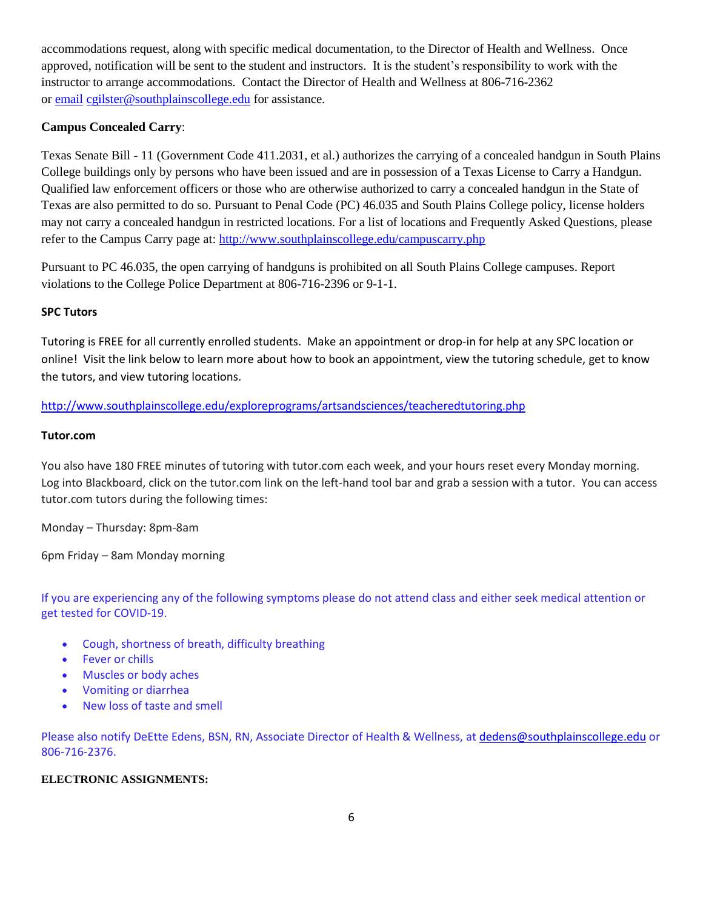accommodations request, along with specific medical documentation, to the Director of Health and Wellness. Once approved, notification will be sent to the student and instructors. It is the student's responsibility to work with the instructor to arrange accommodations. Contact the Director of Health and Wellness at 806-716-2362 or [email](http://www.southplainscollege.edu/employees/manualshandbooks/facultyhandbook/sec4.php) [cgilster@southplainscollege.edu](mailto:cgilster@southplainscollege.edu) for assistance.

# **Campus Concealed Carry**:

Texas Senate Bill - 11 (Government Code 411.2031, et al.) authorizes the carrying of a concealed handgun in South Plains College buildings only by persons who have been issued and are in possession of a Texas License to Carry a Handgun. Qualified law enforcement officers or those who are otherwise authorized to carry a concealed handgun in the State of Texas are also permitted to do so. Pursuant to Penal Code (PC) 46.035 and South Plains College policy, license holders may not carry a concealed handgun in restricted locations. For a list of locations and Frequently Asked Questions, please refer to the Campus Carry page at: <http://www.southplainscollege.edu/campuscarry.php>

Pursuant to PC 46.035, the open carrying of handguns is prohibited on all South Plains College campuses. Report violations to the College Police Department at 806-716-2396 or 9-1-1.

### **SPC Tutors**

Tutoring is FREE for all currently enrolled students. Make an appointment or drop-in for help at any SPC location or online! Visit the link below to learn more about how to book an appointment, view the tutoring schedule, get to know the tutors, and view tutoring locations.

#### <http://www.southplainscollege.edu/exploreprograms/artsandsciences/teacheredtutoring.php>

#### **Tutor.com**

You also have 180 FREE minutes of tutoring with tutor.com each week, and your hours reset every Monday morning. Log into Blackboard, click on the tutor.com link on the left-hand tool bar and grab a session with a tutor. You can access tutor.com tutors during the following times:

Monday – Thursday: 8pm-8am

6pm Friday – 8am Monday morning

If you are experiencing any of the following symptoms please do not attend class and either seek medical attention or get tested for COVID-19.

- Cough, shortness of breath, difficulty breathing
- Fever or chills
- Muscles or body aches
- Vomiting or diarrhea
- New loss of taste and smell

Please also notify DeEtte Edens, BSN, RN, Associate Director of Health & Wellness, at [dedens@southplainscollege.edu](mailto:dedens@southplainscollege.edu) or 806-716-2376.

#### **ELECTRONIC ASSIGNMENTS:**